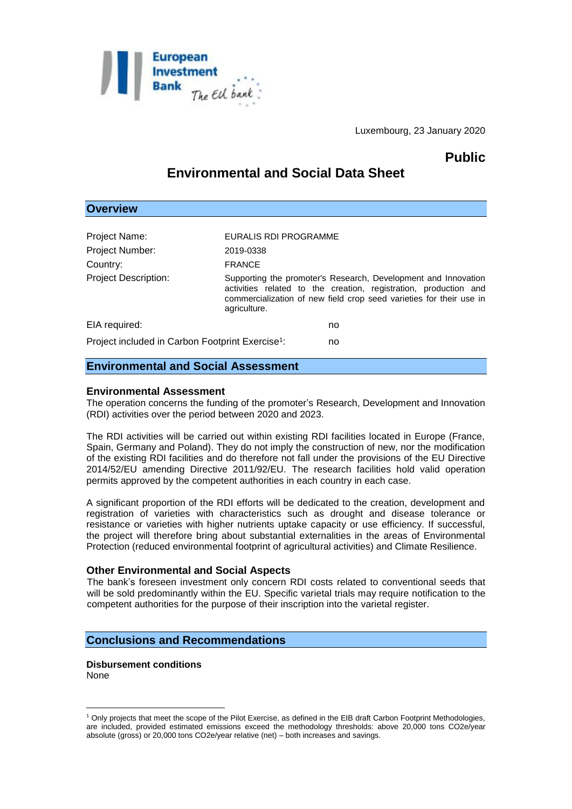

Luxembourg, 23 January 2020

## **Public**

# **Environmental and Social Data Sheet**

## **Overview**

| Project Name:                                                | EURALIS RDI PROGRAMME |                                                                                                                                                                                                           |
|--------------------------------------------------------------|-----------------------|-----------------------------------------------------------------------------------------------------------------------------------------------------------------------------------------------------------|
| Project Number:                                              | 2019-0338             |                                                                                                                                                                                                           |
| Country:                                                     | <b>FRANCE</b>         |                                                                                                                                                                                                           |
| <b>Project Description:</b>                                  | agriculture.          | Supporting the promoter's Research, Development and Innovation<br>activities related to the creation, registration, production and<br>commercialization of new field crop seed varieties for their use in |
| EIA required:                                                |                       | no                                                                                                                                                                                                        |
| Project included in Carbon Footprint Exercise <sup>1</sup> : |                       | no                                                                                                                                                                                                        |

## **Environmental and Social Assessment**

#### **Environmental Assessment**

The operation concerns the funding of the promoter's Research, Development and Innovation (RDI) activities over the period between 2020 and 2023.

The RDI activities will be carried out within existing RDI facilities located in Europe (France, Spain, Germany and Poland). They do not imply the construction of new, nor the modification of the existing RDI facilities and do therefore not fall under the provisions of the EU Directive 2014/52/EU amending Directive 2011/92/EU. The research facilities hold valid operation permits approved by the competent authorities in each country in each case.

A significant proportion of the RDI efforts will be dedicated to the creation, development and registration of varieties with characteristics such as drought and disease tolerance or resistance or varieties with higher nutrients uptake capacity or use efficiency. If successful, the project will therefore bring about substantial externalities in the areas of Environmental Protection (reduced environmental footprint of agricultural activities) and Climate Resilience.

#### **Other Environmental and Social Aspects**

The bank's foreseen investment only concern RDI costs related to conventional seeds that will be sold predominantly within the EU. Specific varietal trials may require notification to the competent authorities for the purpose of their inscription into the varietal register.

### **Conclusions and Recommendations**

**Disbursement conditions** None

<u>.</u>

<sup>1</sup> Only projects that meet the scope of the Pilot Exercise, as defined in the EIB draft Carbon Footprint Methodologies, are included, provided estimated emissions exceed the methodology thresholds: above 20,000 tons CO2e/year absolute (gross) or 20,000 tons CO2e/year relative (net) – both increases and savings.